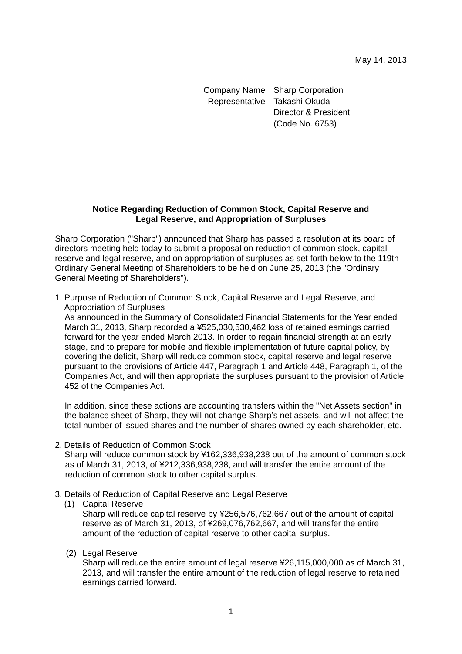Company Name Sharp Corporation Representative Takashi Okuda Director & President (Code No. 6753)

# **Notice Regarding Reduction of Common Stock, Capital Reserve and Legal Reserve, and Appropriation of Surpluses**

Sharp Corporation ("Sharp") announced that Sharp has passed a resolution at its board of directors meeting held today to submit a proposal on reduction of common stock, capital reserve and legal reserve, and on appropriation of surpluses as set forth below to the 119th Ordinary General Meeting of Shareholders to be held on June 25, 2013 (the "Ordinary General Meeting of Shareholders").

1. Purpose of Reduction of Common Stock, Capital Reserve and Legal Reserve, and Appropriation of Surpluses

As announced in the Summary of Consolidated Financial Statements for the Year ended March 31, 2013, Sharp recorded a ¥525,030,530,462 loss of retained earnings carried forward for the year ended March 2013. In order to regain financial strength at an early stage, and to prepare for mobile and flexible implementation of future capital policy, by covering the deficit, Sharp will reduce common stock, capital reserve and legal reserve pursuant to the provisions of Article 447, Paragraph 1 and Article 448, Paragraph 1, of the Companies Act, and will then appropriate the surpluses pursuant to the provision of Article 452 of the Companies Act.

In addition, since these actions are accounting transfers within the "Net Assets section" in the balance sheet of Sharp, they will not change Sharp's net assets, and will not affect the total number of issued shares and the number of shares owned by each shareholder, etc.

2. Details of Reduction of Common Stock

Sharp will reduce common stock by ¥162,336,938,238 out of the amount of common stock as of March 31, 2013, of ¥212,336,938,238, and will transfer the entire amount of the reduction of common stock to other capital surplus.

- 3. Details of Reduction of Capital Reserve and Legal Reserve
	- (1) Capital Reserve

Sharp will reduce capital reserve by ¥256,576,762,667 out of the amount of capital reserve as of March 31, 2013, of ¥269,076,762,667, and will transfer the entire amount of the reduction of capital reserve to other capital surplus.

(2) Legal Reserve

Sharp will reduce the entire amount of legal reserve ¥26,115,000,000 as of March 31, 2013, and will transfer the entire amount of the reduction of legal reserve to retained earnings carried forward.